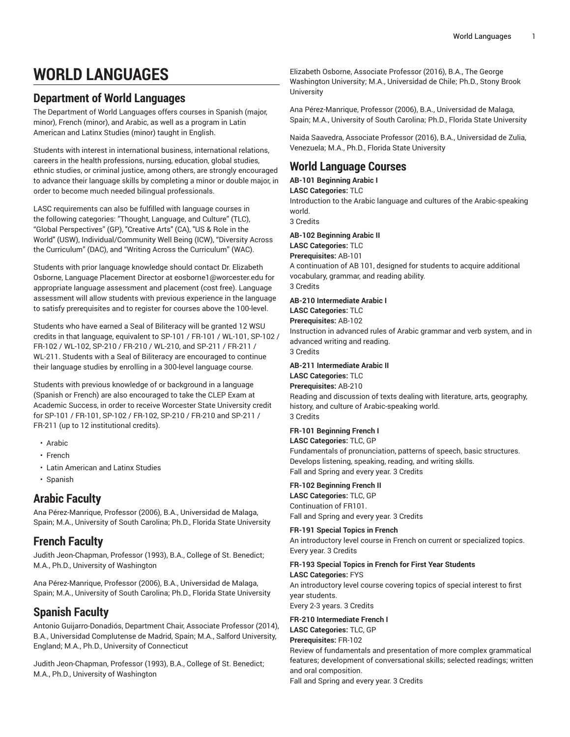# **WORLD LANGUAGES**

## **Department of World Languages**

The Department of World Languages offers courses in Spanish (major, minor), French (minor), and Arabic, as well as a program in Latin American and Latinx Studies (minor) taught in English.

Students with interest in international business, international relations, careers in the health professions, nursing, education, global studies, ethnic studies, or criminal justice, among others, are strongly encouraged to advance their language skills by completing a minor or double major, in order to become much needed bilingual professionals.

LASC requirements can also be fulfilled with language courses in the following categories: "Thought, Language, and Culture" (TLC), "Global Perspectives" (GP), "Creative Arts" (CA), "US & Role in the World" (USW), Individual/Community Well Being (ICW), "Diversity Across the Curriculum" (DAC), and "Writing Across the Curriculum" (WAC).

Students with prior language knowledge should contact Dr. Elizabeth Osborne, Language Placement Director at [eosborne1@worcester.edu](mailto:eosborne1@worcester.edu) for appropriate language assessment and placement (cost free). Language assessment will allow students with previous experience in the language to satisfy prerequisites and to register for courses above the 100-level.

Students who have earned a Seal of Biliteracy will be granted 12 WSU credits in that language, equivalent to SP-101 / FR-101 / WL-101, SP-102 / FR-102 / WL-102, SP-210 / FR-210 / WL-210, and SP-211 / FR-211 / WL-211. Students with a Seal of Biliteracy are encouraged to continue their language studies by enrolling in a 300-level language course.

Students with previous knowledge of or background in a language (Spanish or French) are also encouraged to take the CLEP Exam at Academic Success, in order to receive Worcester State University credit for [SP](/search/?P=SP-101)-101 [/ FR-101,](/search/?P=SP-101) [SP](/search/?P=SP-102)-102 [/ FR-102,](/search/?P=SP-102) [SP-](/search/?P=SP-210)210 [/ FR-210](/search/?P=SP-210) and [SP-](/search/?P=SP-211)211 [/](/search/?P=SP-211) [FR-211](/search/?P=SP-211) (up to 12 institutional credits).

- [Arabic](http://catalog.worcester.edu/undergraduate/school-humanities-social-sciences/arabic/)
- [French](http://catalog.worcester.edu/undergraduate/school-humanities-social-sciences/french/)
- [Latin American and Latinx Studies](http://catalog.worcester.edu/undergraduate/school-humanities-social-sciences/spanish/minor-latinx-studies/)
- [Spanish](http://catalog.worcester.edu/undergraduate/school-humanities-social-sciences/spanish/)

## **Arabic Faculty**

Ana Pérez-Manrique, Professor (2006), B.A., Universidad de Malaga, Spain; M.A., University of South Carolina; Ph.D., Florida State University

## **French Faculty**

Judith Jeon-Chapman, Professor (1993), B.A., College of St. Benedict; M.A., Ph.D., University of Washington

Ana Pérez-Manrique, Professor (2006), B.A., Universidad de Malaga, Spain; M.A., University of South Carolina; Ph.D., Florida State University

## **Spanish Faculty**

Antonio Guijarro-Donadiós, Department Chair, Associate Professor (2014), B.A., Universidad Complutense de Madrid, Spain; M.A., Salford University, England; M.A., Ph.D., University of Connecticut

Judith Jeon-Chapman, Professor (1993), B.A., College of St. Benedict; M.A., Ph.D., University of Washington

Elizabeth Osborne, Associate Professor (2016), B.A., The George Washington University; M.A., Universidad de Chile; Ph.D., Stony Brook **University** 

Ana Pérez-Manrique, Professor (2006), B.A., Universidad de Malaga, Spain; M.A., University of South Carolina; Ph.D., Florida State University

Naida Saavedra, Associate Professor (2016), B.A., Universidad de Zulia, Venezuela; M.A., Ph.D., Florida State University

## **World Language Courses**

**AB-101 Beginning Arabic I LASC Categories:** TLC Introduction to the Arabic language and cultures of the Arabic-speaking world. 3 Credits

## **AB-102 Beginning Arabic II**

**LASC Categories:** TLC **Prerequisites:** AB-101

A continuation of AB 101, designed for students to acquire additional vocabulary, grammar, and reading ability. 3 Credits

## **AB-210 Intermediate Arabic I**

**LASC Categories:** TLC **Prerequisites:** AB-102 Instruction in advanced rules of Arabic grammar and verb system, and in advanced writing and reading. 3 Credits

## **AB-211 Intermediate Arabic II**

**LASC Categories:** TLC

## **Prerequisites:** AB-210

Reading and discussion of texts dealing with literature, arts, geography, history, and culture of Arabic-speaking world. 3 Credits

## **FR-101 Beginning French I**

**LASC Categories:** TLC, GP Fundamentals of pronunciation, patterns of speech, basic structures. Develops listening, speaking, reading, and writing skills. Fall and Spring and every year. 3 Credits

## **FR-102 Beginning French II**

**LASC Categories:** TLC, GP Continuation of FR101. Fall and Spring and every year. 3 Credits

**FR-191 Special Topics in French** An introductory level course in French on current or specialized topics. Every year. 3 Credits

## **FR-193 Special Topics in French for First Year Students LASC Categories:** FYS

An introductory level course covering topics of special interest to first year students.

Every 2-3 years. 3 Credits

## **FR-210 Intermediate French I LASC Categories:** TLC, GP **Prerequisites:** FR-102

Review of fundamentals and presentation of more complex grammatical features; development of conversational skills; selected readings; written and oral composition.

Fall and Spring and every year. 3 Credits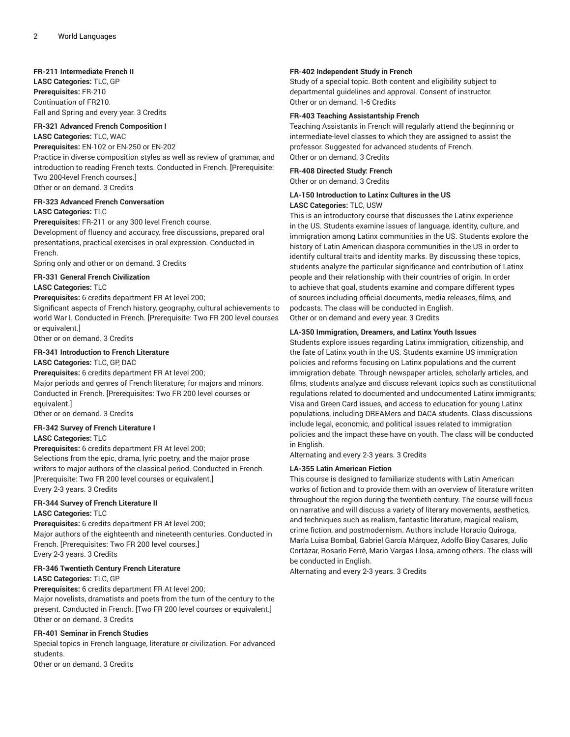**FR-211 Intermediate French II LASC Categories:** TLC, GP **Prerequisites:** FR-210 Continuation of FR210. Fall and Spring and every year. 3 Credits

## **FR-321 Advanced French Composition I**

#### **LASC Categories:** TLC, WAC **Prerequisites:** EN-102 or EN-250 or EN-202

Practice in diverse composition styles as well as review of grammar, and introduction to reading French texts. Conducted in French. [Prerequisite: Two 200-level French courses.]

Other or on demand. 3 Credits

## **FR-323 Advanced French Conversation**

## **LASC Categories:** TLC

**Prerequisites:** FR-211 or any 300 level French course.

Development of fluency and accuracy, free discussions, prepared oral presentations, practical exercises in oral expression. Conducted in French.

Spring only and other or on demand. 3 Credits

## **FR-331 General French Civilization**

## **LASC Categories:** TLC

**Prerequisites:** 6 credits department FR At level 200;

Significant aspects of French history, geography, cultural achievements to world War I. Conducted in French. [Prerequisite: Two FR 200 level courses or equivalent.]

Other or on demand. 3 Credits

## **FR-341 Introduction to French Literature**

#### **LASC Categories:** TLC, GP, DAC

**Prerequisites:** 6 credits department FR At level 200;

Major periods and genres of French literature; for majors and minors. Conducted in French. [Prerequisites: Two FR 200 level courses or equivalent.]

Other or on demand. 3 Credits

## **FR-342 Survey of French Literature I**

## **LASC Categories:** TLC

**Prerequisites:** 6 credits department FR At level 200; Selections from the epic, drama, lyric poetry, and the major prose writers to major authors of the classical period. Conducted in French. [Prerequisite: Two FR 200 level courses or equivalent.] Every 2-3 years. 3 Credits

#### **FR-344 Survey of French Literature II LASC Categories:** TLC

**Prerequisites:** 6 credits department FR At level 200; Major authors of the eighteenth and nineteenth centuries. Conducted in French. [Prerequisites: Two FR 200 level courses.] Every 2-3 years. 3 Credits

## **FR-346 Twentieth Century French Literature**

## **LASC Categories:** TLC, GP

**Prerequisites:** 6 credits department FR At level 200; Major novelists, dramatists and poets from the turn of the century to the present. Conducted in French. [Two FR 200 level courses or equivalent.] Other or on demand. 3 Credits

## **FR-401 Seminar in French Studies**

Special topics in French language, literature or civilization. For advanced students.

Other or on demand. 3 Credits

## **FR-402 Independent Study in French**

Study of a special topic. Both content and eligibility subject to departmental guidelines and approval. Consent of instructor. Other or on demand. 1-6 Credits

## **FR-403 Teaching Assistantship French**

Teaching Assistants in French will regularly attend the beginning or intermediate-level classes to which they are assigned to assist the professor. Suggested for advanced students of French. Other or on demand. 3 Credits

## **FR-408 Directed Study: French** Other or on demand. 3 Credits

## **LA-150 Introduction to Latinx Cultures in the US LASC Categories:** TLC, USW

This is an introductory course that discusses the Latinx experience in the US. Students examine issues of language, identity, culture, and immigration among Latinx communities in the US. Students explore the history of Latin American diaspora communities in the US in order to identify cultural traits and identity marks. By discussing these topics, students analyze the particular significance and contribution of Latinx people and their relationship with their countries of origin. In order to achieve that goal, students examine and compare different types of sources including official documents, media releases, films, and podcasts. The class will be conducted in English.

Other or on demand and every year. 3 Credits

## **LA-350 Immigration, Dreamers, and Latinx Youth Issues**

Students explore issues regarding Latinx immigration, citizenship, and the fate of Latinx youth in the US. Students examine US immigration policies and reforms focusing on Latinx populations and the current immigration debate. Through newspaper articles, scholarly articles, and films, students analyze and discuss relevant topics such as constitutional regulations related to documented and undocumented Latinx immigrants; Visa and Green Card issues, and access to education for young Latinx populations, including DREAMers and DACA students. Class discussions include legal, economic, and political issues related to immigration policies and the impact these have on youth. The class will be conducted in English.

Alternating and every 2-3 years. 3 Credits

## **LA-355 Latin American Fiction**

This course is designed to familiarize students with Latin American works of fiction and to provide them with an overview of literature written throughout the region during the twentieth century. The course will focus on narrative and will discuss a variety of literary movements, aesthetics, and techniques such as realism, fantastic literature, magical realism, crime fiction, and postmodernism. Authors include Horacio Quiroga, María Luisa Bombal, Gabriel García Márquez, Adolfo Bioy Casares, Julio Cortázar, Rosario Ferré, Mario Vargas Llosa, among others. The class will be conducted in English.

Alternating and every 2-3 years. 3 Credits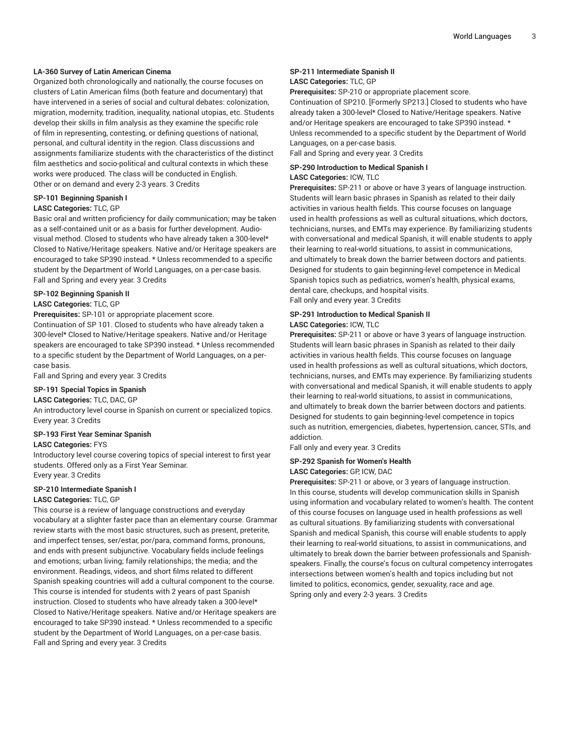## **LA-360 Survey of Latin American Cinema**

Organized both chronologically and nationally, the course focuses on clusters of Latin American films (both feature and documentary) that have intervened in a series of social and cultural debates: colonization, migration, modernity, tradition, inequality, national utopias, etc. Students develop their skills in film analysis as they examine the specific role of film in representing, contesting, or defining questions of national, personal, and cultural identity in the region. Class discussions and assignments familiarize students with the characteristics of the distinct film aesthetics and socio-political and cultural contexts in which these works were produced. The class will be conducted in English. Other or on demand and every 2-3 years. 3 Credits

## **SP-101 Beginning Spanish I**

## **LASC Categories:** TLC, GP

Basic oral and written proficiency for daily communication; may be taken as a self-contained unit or as a basis for further development. Audiovisual method. Closed to students who have already taken a 300-level\* Closed to Native/Heritage speakers. Native and/or Heritage speakers are encouraged to take SP390 instead. \* Unless recommended to a specific student by the Department of World Languages, on a per-case basis. Fall and Spring and every year. 3 Credits

#### **SP-102 Beginning Spanish II**

#### **LASC Categories:** TLC, GP

**Prerequisites:** SP-101 or appropriate placement score.

Continuation of SP 101. Closed to students who have already taken a 300-level\* Closed to Native/Heritage speakers. Native and/or Heritage speakers are encouraged to take SP390 instead. \* Unless recommended to a specific student by the Department of World Languages, on a percase basis.

Fall and Spring and every year. 3 Credits

## **SP-191 Special Topics in Spanish**

#### **LASC Categories:** TLC, DAC, GP

An introductory level course in Spanish on current or specialized topics. Every year. 3 Credits

#### **SP-193 First Year Seminar Spanish**

## **LASC Categories:** FYS

Introductory level course covering topics of special interest to first year students. Offered only as a First Year Seminar. Every year. 3 Credits

## **SP-210 Intermediate Spanish I**

## **LASC Categories:** TLC, GP

This course is a review of language constructions and everyday vocabulary at a slighter faster pace than an elementary course. Grammar review starts with the most basic structures, such as present, preterite, and imperfect tenses, ser/estar, por/para, command forms, pronouns, and ends with present subjunctive. Vocabulary fields include feelings and emotions; urban living; family relationships; the media; and the environment. Readings, videos, and short films related to different Spanish speaking countries will add a cultural component to the course. This course is intended for students with 2 years of past Spanish instruction. Closed to students who have already taken a 300-level\* Closed to Native/Heritage speakers. Native and/or Heritage speakers are encouraged to take SP390 instead. \* Unless recommended to a specific student by the Department of World Languages, on a per-case basis. Fall and Spring and every year. 3 Credits

## **SP-211 Intermediate Spanish II LASC Categories:** TLC, GP

**Prerequisites:** SP-210 or appropriate placement score.

Continuation of SP210. [Formerly SP213.] Closed to students who have already taken a 300-level\* Closed to Native/Heritage speakers. Native and/or Heritage speakers are encouraged to take SP390 instead. \* Unless recommended to a specific student by the Department of World Languages, on a per-case basis.

Fall and Spring and every year. 3 Credits

## **SP-290 Introduction to Medical Spanish I LASC Categories:** ICW, TLC

**Prerequisites:** SP-211 or above or have 3 years of language instruction. Students will learn basic phrases in Spanish as related to their daily activities in various health fields. This course focuses on language used in health professions as well as cultural situations, which doctors, technicians, nurses, and EMTs may experience. By familiarizing students with conversational and medical Spanish, it will enable students to apply their learning to real-world situations, to assist in communications, and ultimately to break down the barrier between doctors and patients. Designed for students to gain beginning-level competence in Medical Spanish topics such as pediatrics, women's health, physical exams, dental care, checkups, and hospital visits. Fall only and every year. 3 Credits

## **SP-291 Introduction to Medical Spanish II LASC Categories:** ICW, TLC

**Prerequisites:** SP-211 or above or have 3 years of language instruction. Students will learn basic phrases in Spanish as related to their daily activities in various health fields. This course focuses on language used in health professions as well as cultural situations, which doctors, technicians, nurses, and EMTs may experience. By familiarizing students with conversational and medical Spanish, it will enable students to apply their learning to real-world situations, to assist in communications, and ultimately to break down the barrier between doctors and patients. Designed for students to gain beginning-level competence in topics such as nutrition, emergencies, diabetes, hypertension, cancer, STIs, and addiction.

Fall only and every year. 3 Credits

## **SP-292 Spanish for Women's Health**

## **LASC Categories:** GP, ICW, DAC

**Prerequisites:** SP-211 or above, or 3 years of language instruction. In this course, students will develop communication skills in Spanish using information and vocabulary related to women's health. The content of this course focuses on language used in health professions as well as cultural situations. By familiarizing students with conversational Spanish and medical Spanish, this course will enable students to apply their learning to real-world situations, to assist in communications, and ultimately to break down the barrier between professionals and Spanishspeakers. Finally, the course's focus on cultural competency interrogates intersections between women's health and topics including but not limited to politics, economics, gender, sexuality, race and age. Spring only and every 2-3 years. 3 Credits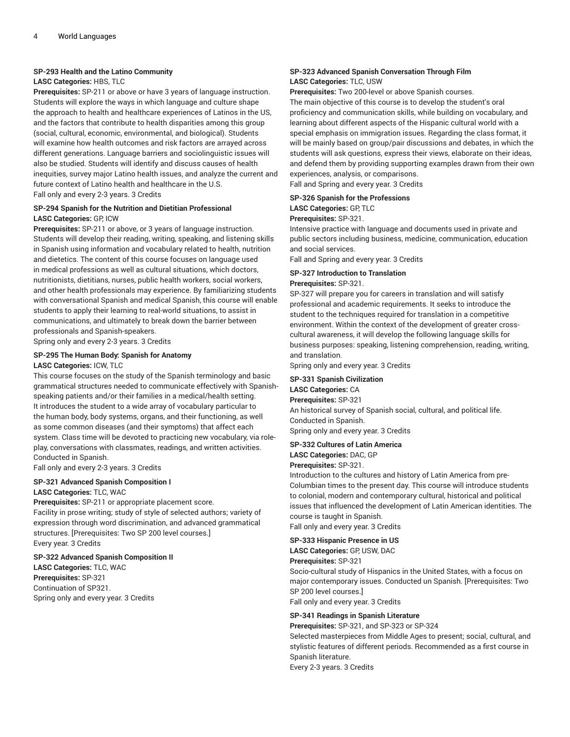#### **SP-293 Health and the Latino Community**

## **LASC Categories:** HBS, TLC

**Prerequisites:** SP-211 or above or have 3 years of language instruction. Students will explore the ways in which language and culture shape the approach to health and healthcare experiences of Latinos in the US, and the factors that contribute to health disparities among this group (social, cultural, economic, environmental, and biological). Students will examine how health outcomes and risk factors are arrayed across different generations. Language barriers and sociolinguistic issues will also be studied. Students will identify and discuss causes of health inequities, survey major Latino health issues, and analyze the current and future context of Latino health and healthcare in the U.S. Fall only and every 2-3 years. 3 Credits

#### **SP-294 Spanish for the Nutrition and Dietitian Professional LASC Categories:** GP, ICW

**Prerequisites:** SP-211 or above, or 3 years of language instruction. Students will develop their reading, writing, speaking, and listening skills in Spanish using information and vocabulary related to health, nutrition and dietetics. The content of this course focuses on language used in medical professions as well as cultural situations, which doctors, nutritionists, dietitians, nurses, public health workers, social workers, and other health professionals may experience. By familiarizing students with conversational Spanish and medical Spanish, this course will enable students to apply their learning to real-world situations, to assist in communications, and ultimately to break down the barrier between professionals and Spanish-speakers.

Spring only and every 2-3 years. 3 Credits

#### **SP-295 The Human Body: Spanish for Anatomy**

#### **LASC Categories:** ICW, TLC

This course focuses on the study of the Spanish terminology and basic grammatical structures needed to communicate effectively with Spanishspeaking patients and/or their families in a medical/health setting. It introduces the student to a wide array of vocabulary particular to the human body, body systems, organs, and their functioning, as well as some common diseases (and their symptoms) that affect each system. Class time will be devoted to practicing new vocabulary, via roleplay, conversations with classmates, readings, and written activities. Conducted in Spanish.

Fall only and every 2-3 years. 3 Credits

## **SP-321 Advanced Spanish Composition I**

**LASC Categories:** TLC, WAC

**Prerequisites:** SP-211 or appropriate placement score. Facility in prose writing; study of style of selected authors; variety of expression through word discrimination, and advanced grammatical structures. [Prerequisites: Two SP 200 level courses.] Every year. 3 Credits

#### **SP-322 Advanced Spanish Composition II**

**LASC Categories:** TLC, WAC **Prerequisites:** SP-321 Continuation of SP321. Spring only and every year. 3 Credits

## **SP-323 Advanced Spanish Conversation Through Film LASC Categories:** TLC, USW

**Prerequisites:** Two 200-level or above Spanish courses.

The main objective of this course is to develop the student's oral proficiency and communication skills, while building on vocabulary, and learning about different aspects of the Hispanic cultural world with a special emphasis on immigration issues. Regarding the class format, it will be mainly based on group/pair discussions and debates, in which the students will ask questions, express their views, elaborate on their ideas, and defend them by providing supporting examples drawn from their own experiences, analysis, or comparisons.

Fall and Spring and every year. 3 Credits

## **SP-326 Spanish for the Professions**

**LASC Categories:** GP, TLC

## **Prerequisites:** SP-321.

Intensive practice with language and documents used in private and public sectors including business, medicine, communication, education and social services.

Fall and Spring and every year. 3 Credits

#### **SP-327 Introduction to Translation Prerequisites:** SP-321.

SP-327 will prepare you for careers in translation and will satisfy professional and academic requirements. It seeks to introduce the student to the techniques required for translation in a competitive environment. Within the context of the development of greater crosscultural awareness, it will develop the following language skills for business purposes: speaking, listening comprehension, reading, writing, and translation.

Spring only and every year. 3 Credits

## **SP-331 Spanish Civilization**

**LASC Categories:** CA

**Prerequisites:** SP-321 An historical survey of Spanish social, cultural, and political life. Conducted in Spanish.

Spring only and every year. 3 Credits

## **SP-332 Cultures of Latin America**

**LASC Categories:** DAC, GP **Prerequisites:** SP-321.

Introduction to the cultures and history of Latin America from pre-Columbian times to the present day. This course will introduce students to colonial, modern and contemporary cultural, historical and political issues that influenced the development of Latin American identities. The course is taught in Spanish.

Fall only and every year. 3 Credits

#### **SP-333 Hispanic Presence in US**

**LASC Categories:** GP, USW, DAC

**Prerequisites:** SP-321

Socio-cultural study of Hispanics in the United States, with a focus on major contemporary issues. Conducted un Spanish. [Prerequisites: Two SP 200 level courses.]

Fall only and every year. 3 Credits

#### **SP-341 Readings in Spanish Literature**

**Prerequisites:** SP-321, and SP-323 or SP-324

Selected masterpieces from Middle Ages to present; social, cultural, and stylistic features of different periods. Recommended as a first course in Spanish literature.

Every 2-3 years. 3 Credits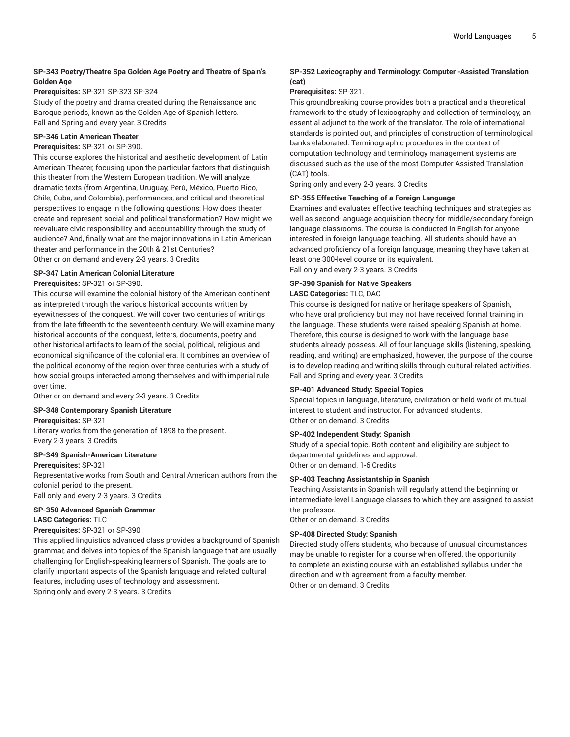## **SP-343 Poetry/Theatre Spa Golden Age Poetry and Theatre of Spain's Golden Age**

## **Prerequisites:** SP-321 SP-323 SP-324

Study of the poetry and drama created during the Renaissance and Baroque periods, known as the Golden Age of Spanish letters. Fall and Spring and every year. 3 Credits

## **SP-346 Latin American Theater**

## **Prerequisites:** SP-321 or SP-390.

This course explores the historical and aesthetic development of Latin American Theater, focusing upon the particular factors that distinguish this theater from the Western European tradition. We will analyze dramatic texts (from Argentina, Uruguay, Perú, México, Puerto Rico, Chile, Cuba, and Colombia), performances, and critical and theoretical perspectives to engage in the following questions: How does theater create and represent social and political transformation? How might we reevaluate civic responsibility and accountability through the study of audience? And, finally what are the major innovations in Latin American theater and performance in the 20th & 21st Centuries? Other or on demand and every 2-3 years. 3 Credits

#### **SP-347 Latin American Colonial Literature**

## **Prerequisites:** SP-321 or SP-390.

This course will examine the colonial history of the American continent as interpreted through the various historical accounts written by eyewitnesses of the conquest. We will cover two centuries of writings from the late fifteenth to the seventeenth century. We will examine many historical accounts of the conquest, letters, documents, poetry and other historical artifacts to learn of the social, political, religious and economical significance of the colonial era. It combines an overview of the political economy of the region over three centuries with a study of how social groups interacted among themselves and with imperial rule over time.

Other or on demand and every 2-3 years. 3 Credits

## **SP-348 Contemporary Spanish Literature**

#### **Prerequisites:** SP-321

Literary works from the generation of 1898 to the present. Every 2-3 years. 3 Credits

## **SP-349 Spanish-American Literature**

## **Prerequisites:** SP-321

Representative works from South and Central American authors from the colonial period to the present. Fall only and every 2-3 years. 3 Credits

## **SP-350 Advanced Spanish Grammar LASC Categories:** TLC

## **Prerequisites:** SP-321 or SP-390

This applied linguistics advanced class provides a background of Spanish grammar, and delves into topics of the Spanish language that are usually challenging for English-speaking learners of Spanish. The goals are to clarify important aspects of the Spanish language and related cultural features, including uses of technology and assessment. Spring only and every 2-3 years. 3 Credits

## **SP-352 Lexicography and Terminology: Computer -Assisted Translation (cat)**

## **Prerequisites:** SP-321.

This groundbreaking course provides both a practical and a theoretical framework to the study of lexicography and collection of terminology, an essential adjunct to the work of the translator. The role of international standards is pointed out, and principles of construction of terminological banks elaborated. Terminographic procedures in the context of computation technology and terminology management systems are discussed such as the use of the most Computer Assisted Translation (CAT) tools.

Spring only and every 2-3 years. 3 Credits

## **SP-355 Effective Teaching of a Foreign Language**

Examines and evaluates effective teaching techniques and strategies as well as second-language acquisition theory for middle/secondary foreign language classrooms. The course is conducted in English for anyone interested in foreign language teaching. All students should have an advanced proficiency of a foreign language, meaning they have taken at least one 300-level course or its equivalent. Fall only and every 2-3 years. 3 Credits

## **SP-390 Spanish for Native Speakers**

## **LASC Categories:** TLC, DAC

This course is designed for native or heritage speakers of Spanish, who have oral proficiency but may not have received formal training in the language. These students were raised speaking Spanish at home. Therefore, this course is designed to work with the language base students already possess. All of four language skills (listening, speaking, reading, and writing) are emphasized, however, the purpose of the course is to develop reading and writing skills through cultural-related activities. Fall and Spring and every year. 3 Credits

## **SP-401 Advanced Study: Special Topics**

Special topics in language, literature, civilization or field work of mutual interest to student and instructor. For advanced students. Other or on demand. 3 Credits

## **SP-402 Independent Study: Spanish**

Study of a special topic. Both content and eligibility are subject to departmental guidelines and approval. Other or on demand. 1-6 Credits

## **SP-403 Teachng Assistantship in Spanish**

Teaching Assistants in Spanish will regularly attend the beginning or intermediate-level Language classes to which they are assigned to assist the professor.

Other or on demand. 3 Credits

#### **SP-408 Directed Study: Spanish**

Directed study offers students, who because of unusual circumstances may be unable to register for a course when offered, the opportunity to complete an existing course with an established syllabus under the direction and with agreement from a faculty member. Other or on demand. 3 Credits